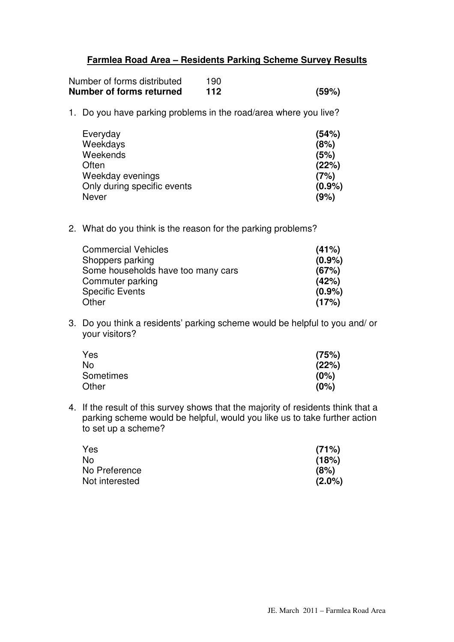## **Farmlea Road Area – Residents Parking Scheme Survey Results**

| Number of forms distributed | 190 |       |
|-----------------------------|-----|-------|
| Number of forms returned    | 112 | (59%) |

1. Do you have parking problems in the road/area where you live?

| Everyday                    | (54%)     |
|-----------------------------|-----------|
| Weekdays                    | (8%)      |
| Weekends                    | (5%)      |
| Often                       | (22%)     |
| Weekday evenings            | (7%)      |
| Only during specific events | $(0.9\%)$ |
| Never                       | (9%)      |

2. What do you think is the reason for the parking problems?

| <b>Commercial Vehicles</b>         | (41%)     |
|------------------------------------|-----------|
| Shoppers parking                   | $(0.9\%)$ |
| Some households have too many cars | (67%)     |
| Commuter parking                   | (42%)     |
| <b>Specific Events</b>             | $(0.9\%)$ |
| Other                              | (17%)     |

3. Do you think a residents' parking scheme would be helpful to you and/ or your visitors?

| Yes       | (75%) |
|-----------|-------|
| No        | (22%) |
| Sometimes | (0%)  |
| Other     | (0%)  |

4. If the result of this survey shows that the majority of residents think that a parking scheme would be helpful, would you like us to take further action to set up a scheme?

| Yes            | (71%)     |
|----------------|-----------|
| No             | (18%)     |
| No Preference  | (8%)      |
| Not interested | $(2.0\%)$ |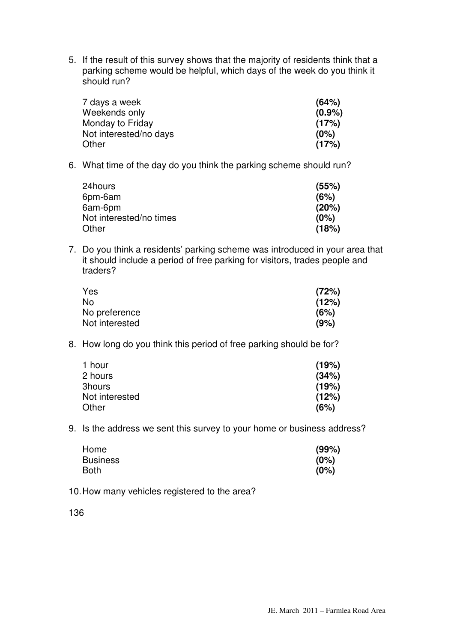5. If the result of this survey shows that the majority of residents think that a parking scheme would be helpful, which days of the week do you think it should run?

| 7 days a week          | (64%)     |
|------------------------|-----------|
| Weekends only          | $(0.9\%)$ |
| Monday to Friday       | (17%)     |
| Not interested/no days | (0%)      |
| Other                  | (17%)     |

6. What time of the day do you think the parking scheme should run?

| 24hours                 | (55%) |
|-------------------------|-------|
| 6pm-6am                 | (6%)  |
| 6am-6pm                 | (20%) |
| Not interested/no times | (0%)  |
| Other                   | (18%) |

7. Do you think a residents' parking scheme was introduced in your area that it should include a period of free parking for visitors, trades people and traders?

| Yes            | (72%) |
|----------------|-------|
| No             | (12%) |
| No preference  | (6%)  |
| Not interested | (9%)  |

8. How long do you think this period of free parking should be for?

| 1 hour         | (19%) |
|----------------|-------|
| 2 hours        | (34%) |
| 3hours         | (19%) |
| Not interested | (12%) |
| Other          | (6%)  |

9. Is the address we sent this survey to your home or business address?

| Home            | (99%) |
|-----------------|-------|
| <b>Business</b> | (0%)  |
| Both            | (0%)  |

10. How many vehicles registered to the area?

136